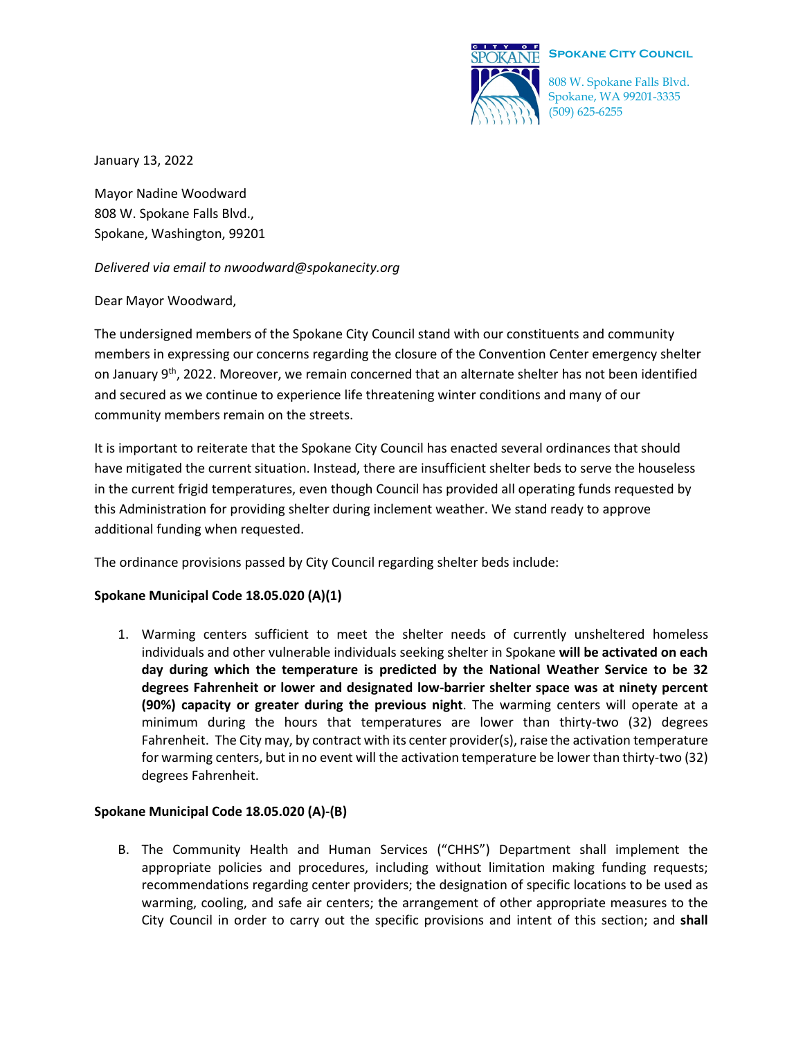

# **SPOKANE SPOKANE CITY COUNCIL**

808 W. Spokane Falls Blvd. Spokane, WA 99201-3335 (509) 625-6255

January 13, 2022

Mayor Nadine Woodward 808 W. Spokane Falls Blvd., Spokane, Washington, 99201

#### *Delivered via email to nwoodward@spokanecity.org*

## Dear Mayor Woodward,

The undersigned members of the Spokane City Council stand with our constituents and community members in expressing our concerns regarding the closure of the Convention Center emergency shelter on January 9<sup>th</sup>, 2022. Moreover, we remain concerned that an alternate shelter has not been identified and secured as we continue to experience life threatening winter conditions and many of our community members remain on the streets.

It is important to reiterate that the Spokane City Council has enacted several ordinances that should have mitigated the current situation. Instead, there are insufficient shelter beds to serve the houseless in the current frigid temperatures, even though Council has provided all operating funds requested by this Administration for providing shelter during inclement weather. We stand ready to approve additional funding when requested.

The ordinance provisions passed by City Council regarding shelter beds include:

## **Spokane Municipal Code 18.05.020 (A)(1)**

1. Warming centers sufficient to meet the shelter needs of currently unsheltered homeless individuals and other vulnerable individuals seeking shelter in Spokane **will be activated on each day during which the temperature is predicted by the National Weather Service to be 32 degrees Fahrenheit or lower and designated low-barrier shelter space was at ninety percent (90%) capacity or greater during the previous night**. The warming centers will operate at a minimum during the hours that temperatures are lower than thirty-two (32) degrees Fahrenheit. The City may, by contract with its center provider(s), raise the activation temperature for warming centers, but in no event will the activation temperature be lower than thirty-two (32) degrees Fahrenheit.

## **Spokane Municipal Code 18.05.020 (A)-(B)**

B. The Community Health and Human Services ("CHHS") Department shall implement the appropriate policies and procedures, including without limitation making funding requests; recommendations regarding center providers; the designation of specific locations to be used as warming, cooling, and safe air centers; the arrangement of other appropriate measures to the City Council in order to carry out the specific provisions and intent of this section; and **shall**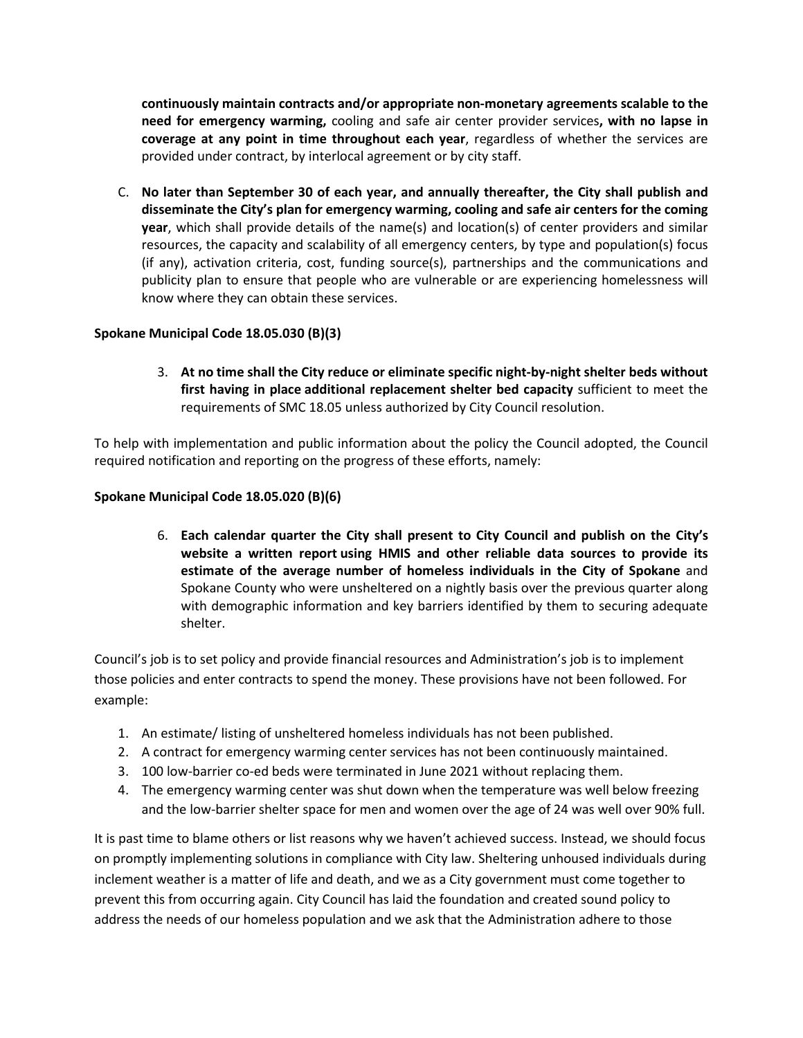**continuously maintain contracts and/or appropriate non-monetary agreements scalable to the need for emergency warming,** cooling and safe air center provider services**, with no lapse in coverage at any point in time throughout each year**, regardless of whether the services are provided under contract, by interlocal agreement or by city staff.

C. **No later than September 30 of each year, and annually thereafter, the City shall publish and disseminate the City's plan for emergency warming, cooling and safe air centers for the coming year**, which shall provide details of the name(s) and location(s) of center providers and similar resources, the capacity and scalability of all emergency centers, by type and population(s) focus (if any), activation criteria, cost, funding source(s), partnerships and the communications and publicity plan to ensure that people who are vulnerable or are experiencing homelessness will know where they can obtain these services.

## **Spokane Municipal Code 18.05.030 (B)(3)**

3. **At no time shall the City reduce or eliminate specific night-by-night shelter beds without first having in place additional replacement shelter bed capacity** sufficient to meet the requirements of SMC 18.05 unless authorized by City Council resolution.

To help with implementation and public information about the policy the Council adopted, the Council required notification and reporting on the progress of these efforts, namely:

#### **Spokane Municipal Code 18.05.020 (B)(6)**

6. **Each calendar quarter the City shall present to City Council and publish on the City's website a written report using HMIS and other reliable data sources to provide its estimate of the average number of homeless individuals in the City of Spokane** and Spokane County who were unsheltered on a nightly basis over the previous quarter along with demographic information and key barriers identified by them to securing adequate shelter.

Council's job is to set policy and provide financial resources and Administration's job is to implement those policies and enter contracts to spend the money. These provisions have not been followed. For example:

- 1. An estimate/ listing of unsheltered homeless individuals has not been published.
- 2. A contract for emergency warming center services has not been continuously maintained.
- 3. 100 low-barrier co-ed beds were terminated in June 2021 without replacing them.
- 4. The emergency warming center was shut down when the temperature was well below freezing and the low-barrier shelter space for men and women over the age of 24 was well over 90% full.

It is past time to blame others or list reasons why we haven't achieved success. Instead, we should focus on promptly implementing solutions in compliance with City law. Sheltering unhoused individuals during inclement weather is a matter of life and death, and we as a City government must come together to prevent this from occurring again. City Council has laid the foundation and created sound policy to address the needs of our homeless population and we ask that the Administration adhere to those